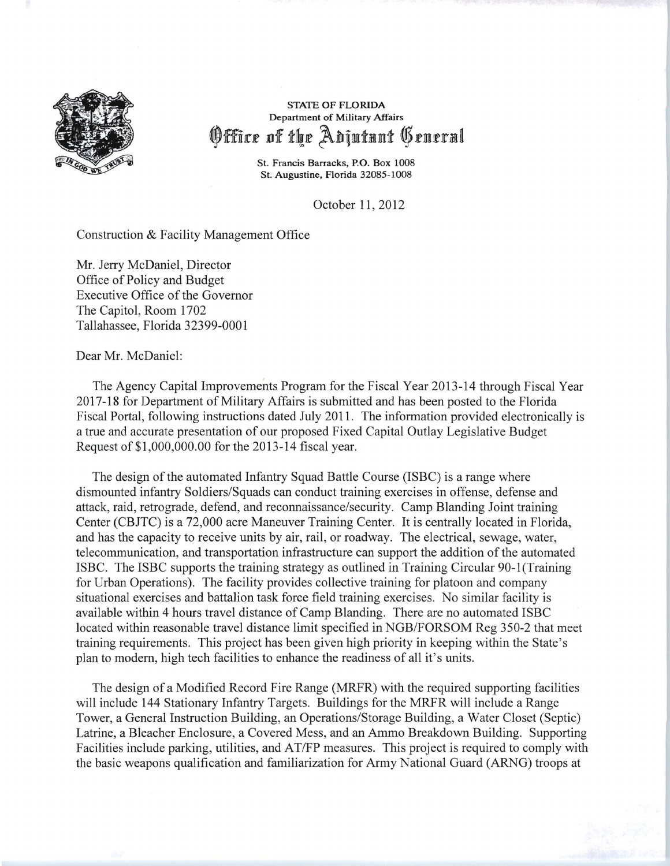

## STATE OF FLORIDA Department of Military Affairs Office of the Adjutunt Generul

St. Francis Barracks, P.O. Box 1008 St. Augustine, Florida 32085-1008

October 11,2012

Construction & Facility Management Office

Mr. Jerry McDaniel, Director Office of Policy and Budget Executive Office of the Governor The Capitol, Room 1702 Tallahassee, Florida 32399-0001

Dear Mr. McDaniel:

The Agency Capital Improvements Program for the Fiscal Year 2013-14 through Fiscal Year 2017-18 for Department of Military Affairs is submitted and has been posted to the Florida Fiscal Portal, following instructions dated July 2011. The information provided electronically is a true and accurate presentation of our proposed Fixed Capital Outlay Legislative Budget Request of \$1 ,000,000.00 for the 2013-14 fiscal year.

The design of the automated Infantry Squad Battle Course (ISBC) is a range where dismounted infantry Soldiers/Squads can conduct training exercises in offense, defense and attack, raid, retrograde, defend, and reconnaissance/security. Camp Blanding Joint training Center (CBJTC) is a 72,000 acre Maneuver Training Center. It is centrally located in Florida, and has the capacity to receive units by air, rail, or roadway. The electrical, sewage, water, telecommunication, and transportation infrastructure can support the addition of the automated ISBC. The ISBC supports the training strategy as outlined in Training Circular 90-1 (Training for Urban Operations). The facility provides collective training for platoon and company situational exercises and battalion task force field training exercises. No similar facility is available within 4 hours travel distance of Camp Blanding. There are no automated ISBC located within reasonable travel distance limit specified in NGB/FORSOM Reg 350-2 that meet training requirements. This project has been given high priority in keeping within the State's plan to modern, high tech facilities to enhance the readiness of all it's units.

The design of a Modified Record Fire Range (MRFR) with the required supporting facilities will include 144 Stationary Infantry Targets. Buildings for the MRFR will include a Range Tower, a General Instruction Building, an Operations/Storage Building, a Water Closet (Septic) Latrine, a Bleacher Enclosure, a Covered Mess, and an Ammo Breakdown Building. Supporting Facilities include parking, utilities, and AT/FP measures. This project is required to comply with the basic weapons qualification and familiarization for Army National Guard (ARNG) troops at